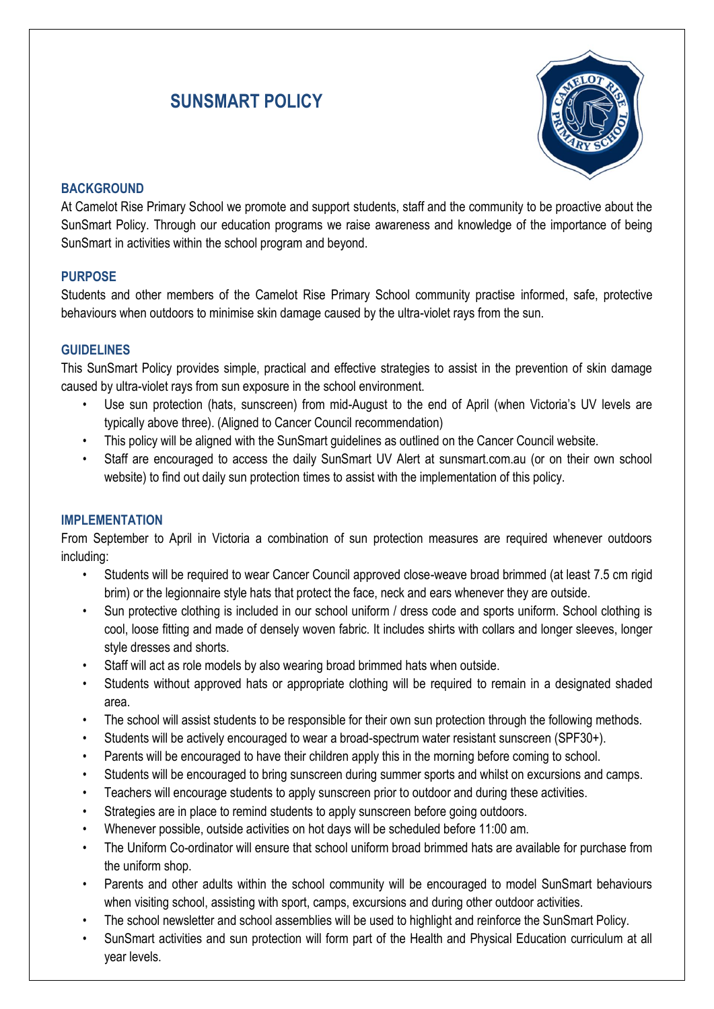# **SUNSMART POLICY**



#### **BACKGROUND**

At Camelot Rise Primary School we promote and support students, staff and the community to be proactive about the SunSmart Policy. Through our education programs we raise awareness and knowledge of the importance of being SunSmart in activities within the school program and beyond.

#### **PURPOSE**

Students and other members of the Camelot Rise Primary School community practise informed, safe, protective behaviours when outdoors to minimise skin damage caused by the ultra-violet rays from the sun.

#### **GUIDELINES**

This SunSmart Policy provides simple, practical and effective strategies to assist in the prevention of skin damage caused by ultra-violet rays from sun exposure in the school environment.

- Use sun protection (hats, sunscreen) from mid-August to the end of April (when Victoria's UV levels are typically above three). (Aligned to Cancer Council recommendation)
- This policy will be aligned with the SunSmart guidelines as outlined on the Cancer Council website.
- Staff are encouraged to access the daily SunSmart UV Alert at sunsmart.com.au (or on their own school website) to find out daily sun protection times to assist with the implementation of this policy.

#### **IMPLEMENTATION**

From September to April in Victoria a combination of sun protection measures are required whenever outdoors including:

- Students will be required to wear Cancer Council approved close-weave broad brimmed (at least 7.5 cm rigid brim) or the legionnaire style hats that protect the face, neck and ears whenever they are outside.
- Sun protective clothing is included in our school uniform / dress code and sports uniform. School clothing is cool, loose fitting and made of densely woven fabric. It includes shirts with collars and longer sleeves, longer style dresses and shorts.
- Staff will act as role models by also wearing broad brimmed hats when outside.
- Students without approved hats or appropriate clothing will be required to remain in a designated shaded area.
- The school will assist students to be responsible for their own sun protection through the following methods.
- Students will be actively encouraged to wear a broad-spectrum water resistant sunscreen (SPF30+).
- Parents will be encouraged to have their children apply this in the morning before coming to school.
- Students will be encouraged to bring sunscreen during summer sports and whilst on excursions and camps.
- Teachers will encourage students to apply sunscreen prior to outdoor and during these activities.
- Strategies are in place to remind students to apply sunscreen before going outdoors.
- Whenever possible, outside activities on hot days will be scheduled before 11:00 am.
- The Uniform Co-ordinator will ensure that school uniform broad brimmed hats are available for purchase from the uniform shop.
- Parents and other adults within the school community will be encouraged to model SunSmart behaviours when visiting school, assisting with sport, camps, excursions and during other outdoor activities.
- The school newsletter and school assemblies will be used to highlight and reinforce the SunSmart Policy.
- SunSmart activities and sun protection will form part of the Health and Physical Education curriculum at all year levels.